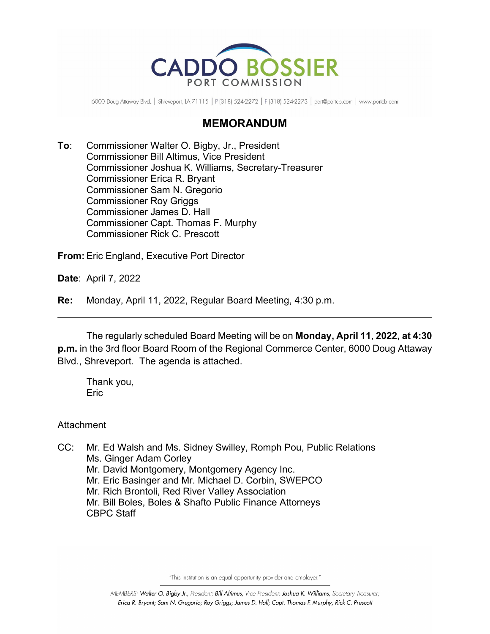

6000 Doug Attaway Blvd. | Shreveport, LA 71115 | P (318) 524-2272 | F (318) 524-2273 | port@portcb.com | www.portcb.com

## **MEMORANDUM**

**To**: Commissioner Walter O. Bigby, Jr., President Commissioner Bill Altimus, Vice President Commissioner Joshua K. Williams, Secretary-Treasurer Commissioner Erica R. Bryant Commissioner Sam N. Gregorio Commissioner Roy Griggs Commissioner James D. Hall Commissioner Capt. Thomas F. Murphy Commissioner Rick C. Prescott

**From:** Eric England, Executive Port Director

**Date**: April 7, 2022

**Re:** Monday, April 11, 2022, Regular Board Meeting, 4:30 p.m.

The regularly scheduled Board Meeting will be on **Monday, April 11**, **2022, at 4:30 p.m.** in the 3rd floor Board Room of the Regional Commerce Center, 6000 Doug Attaway Blvd., Shreveport. The agenda is attached.

Thank you, **Eric** 

Attachment

CC: Mr. Ed Walsh and Ms. Sidney Swilley, Romph Pou, Public Relations Ms. Ginger Adam Corley Mr. David Montgomery, Montgomery Agency Inc. Mr. Eric Basinger and Mr. Michael D. Corbin, SWEPCO Mr. Rich Brontoli, Red River Valley Association Mr. Bill Boles, Boles & Shafto Public Finance Attorneys CBPC Staff

"This institution is an equal opportunity provider and employer."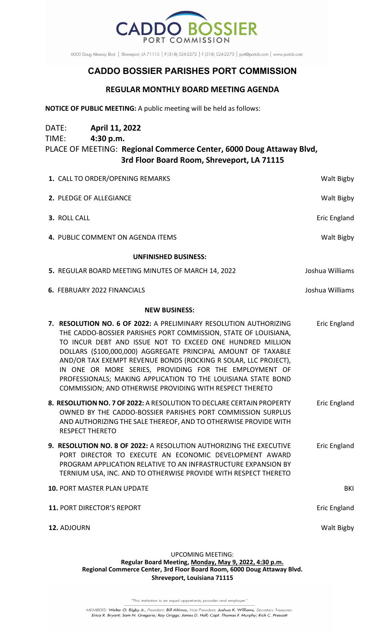

6000 Doug Attaway Blvd. | Shreveport, LA 71115 | P (318) 524-2272 | F (318) 524-2273 | port@portcb.com | www.portcb.com

## **CADDO BOSSIER PARISHES PORT COMMISSION**

## **REGULAR MONTHLY BOARD MEETING AGENDA**

**NOTICE OF PUBLIC MEETING:** A public meeting will be held as follows:

DATE: **April 11, 2022**

| TIME:                       | 4:30 p.m.                          | PLACE OF MEETING: Regional Commerce Center, 6000 Doug Attaway Blvd,<br>3rd Floor Board Room, Shreveport, LA 71115                                                                                                                                                                                                                                                                                                                                                                                                            |                 |
|-----------------------------|------------------------------------|------------------------------------------------------------------------------------------------------------------------------------------------------------------------------------------------------------------------------------------------------------------------------------------------------------------------------------------------------------------------------------------------------------------------------------------------------------------------------------------------------------------------------|-----------------|
|                             | 1. CALL TO ORDER/OPENING REMARKS   |                                                                                                                                                                                                                                                                                                                                                                                                                                                                                                                              | Walt Bigby      |
|                             | 2. PLEDGE OF ALLEGIANCE            |                                                                                                                                                                                                                                                                                                                                                                                                                                                                                                                              | Walt Bigby      |
|                             | 3. ROLL CALL                       |                                                                                                                                                                                                                                                                                                                                                                                                                                                                                                                              | Eric England    |
|                             | 4. PUBLIC COMMENT ON AGENDA ITEMS  |                                                                                                                                                                                                                                                                                                                                                                                                                                                                                                                              | Walt Bigby      |
| <b>UNFINISHED BUSINESS:</b> |                                    |                                                                                                                                                                                                                                                                                                                                                                                                                                                                                                                              |                 |
|                             |                                    | 5. REGULAR BOARD MEETING MINUTES OF MARCH 14, 2022                                                                                                                                                                                                                                                                                                                                                                                                                                                                           | Joshua Williams |
|                             | 6. FEBRUARY 2022 FINANCIALS        |                                                                                                                                                                                                                                                                                                                                                                                                                                                                                                                              | Joshua Williams |
| <b>NEW BUSINESS:</b>        |                                    |                                                                                                                                                                                                                                                                                                                                                                                                                                                                                                                              |                 |
|                             |                                    | 7. RESOLUTION NO. 6 OF 2022: A PRELIMINARY RESOLUTION AUTHORIZING<br>THE CADDO-BOSSIER PARISHES PORT COMMISSION, STATE OF LOUISIANA,<br>TO INCUR DEBT AND ISSUE NOT TO EXCEED ONE HUNDRED MILLION<br>DOLLARS (\$100,000,000) AGGREGATE PRINCIPAL AMOUNT OF TAXABLE<br>AND/OR TAX EXEMPT REVENUE BONDS (ROCKING R SOLAR, LLC PROJECT),<br>IN ONE OR MORE SERIES, PROVIDING FOR THE EMPLOYMENT OF<br>PROFESSIONALS; MAKING APPLICATION TO THE LOUISIANA STATE BOND<br>COMMISSION; AND OTHERWISE PROVIDING WITH RESPECT THERETO | Eric England    |
|                             | <b>RESPECT THERETO</b>             | 8. RESOLUTION NO. 7 OF 2022: A RESOLUTION TO DECLARE CERTAIN PROPERTY<br>OWNED BY THE CADDO-BOSSIER PARISHES PORT COMMISSION SURPLUS<br>AND AUTHORIZING THE SALE THEREOF, AND TO OTHERWISE PROVIDE WITH                                                                                                                                                                                                                                                                                                                      | Eric England    |
|                             |                                    | 9. RESOLUTION NO. 8 OF 2022: A RESOLUTION AUTHORIZING THE EXECUTIVE<br>PORT DIRECTOR TO EXECUTE AN ECONOMIC DEVELOPMENT AWARD<br>PROGRAM APPLICATION RELATIVE TO AN INFRASTRUCTURE EXPANSION BY<br>TERNIUM USA, INC. AND TO OTHERWISE PROVIDE WITH RESPECT THERETO                                                                                                                                                                                                                                                           | Eric England    |
|                             | <b>10. PORT MASTER PLAN UPDATE</b> |                                                                                                                                                                                                                                                                                                                                                                                                                                                                                                                              | BKI             |
|                             | 11. PORT DIRECTOR'S REPORT         |                                                                                                                                                                                                                                                                                                                                                                                                                                                                                                                              | Eric England    |
|                             | 12. ADJOURN                        |                                                                                                                                                                                                                                                                                                                                                                                                                                                                                                                              | Walt Bigby      |
|                             |                                    |                                                                                                                                                                                                                                                                                                                                                                                                                                                                                                                              |                 |

UPCOMING MEETING:

**Regular Board Meeting, Monday, May 9, 2022, 4:30 p.m. Regional Commerce Center, 3rd Floor Board Room, 6000 Doug Attaway Blvd. Shreveport, Louisiana 71115**

"This institution is an equal opportunity provider and employer."